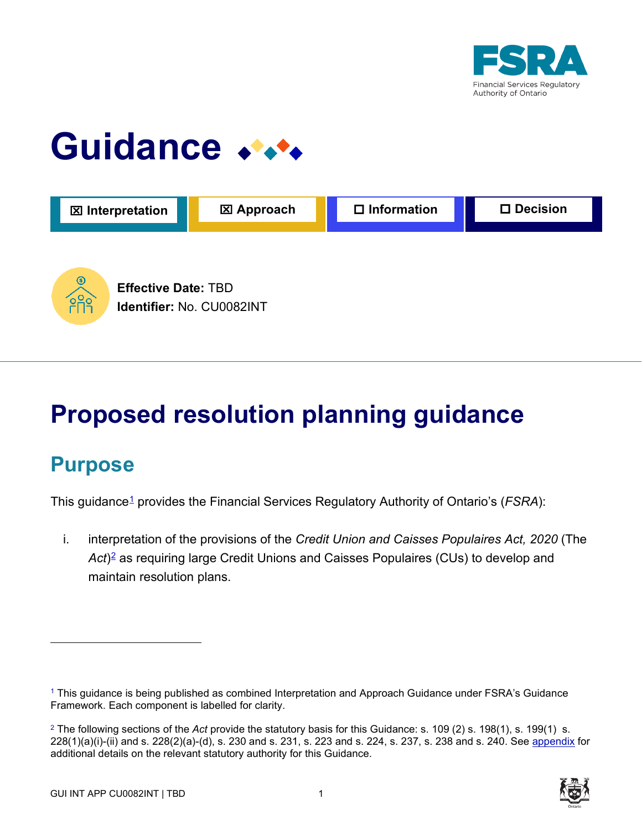

# Guidance \*\*\*



# **Proposed resolution planning guidance**

# **Purpose**

This guidance1 provides the Financial Services Regulatory Authority of Ontario's (*FSRA*):

i. interpretation of the provisions of the *Credit Union and Caisses Populaires Act, 2020* (The Act<sup>)2</sup> as requiring large Credit Unions and Caisses Populaires (CUs) to develop and maintain resolution plans.

<sup>2</sup> The following sections of the *Act* provide the statutory basis for this Guidance: s. 109 (2) s. 198(1), s. 199(1) s. 228(1)(a)(i)-(ii) and s. 228(2)(a)-(d), s. 230 and s. 231, s. 223 and s. 224, s. 237, s. 238 and s. 240. See appendix for additional details on the relevant statutory authority for this Guidance.



<sup>1</sup> This guidance is being published as combined Interpretation and Approach Guidance under FSRA's Guidance Framework. Each component is labelled for clarity.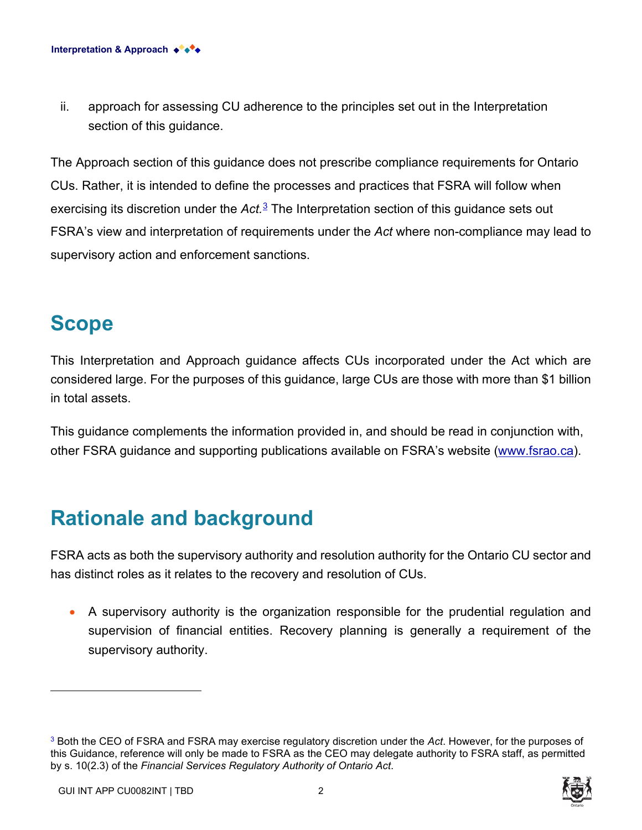ii. approach for assessing CU adherence to the principles set out in the Interpretation section of this guidance.

The Approach section of this guidance does not prescribe compliance requirements for Ontario CUs. Rather, it is intended to define the processes and practices that FSRA will follow when exercising its discretion under the *Act.*<sup>3</sup> The Interpretation section of this guidance sets out FSRA's view and interpretation of requirements under the *Act* where non-compliance may lead to supervisory action and enforcement sanctions.

# **Scope**

This Interpretation and Approach guidance affects CUs incorporated under the Act which are considered large. For the purposes of this guidance, large CUs are those with more than \$1 billion in total assets.

This guidance complements the information provided in, and should be read in conjunction with, other FSRA guidance and supporting publications available on FSRA's website [\(www.fsrao.ca\)](http://www.fsrao.ca/).

# **Rationale and background**

FSRA acts as both the supervisory authority and resolution authority for the Ontario CU sector and has distinct roles as it relates to the recovery and resolution of CUs.

• A supervisory authority is the organization responsible for the prudential regulation and supervision of financial entities. Recovery planning is generally a requirement of the supervisory authority.

<sup>3</sup> Both the CEO of FSRA and FSRA may exercise regulatory discretion under the *Act*. However, for the purposes of this Guidance, reference will only be made to FSRA as the CEO may delegate authority to FSRA staff, as permitted by s. 10(2.3) of the *Financial Services Regulatory Authority of Ontario Act*.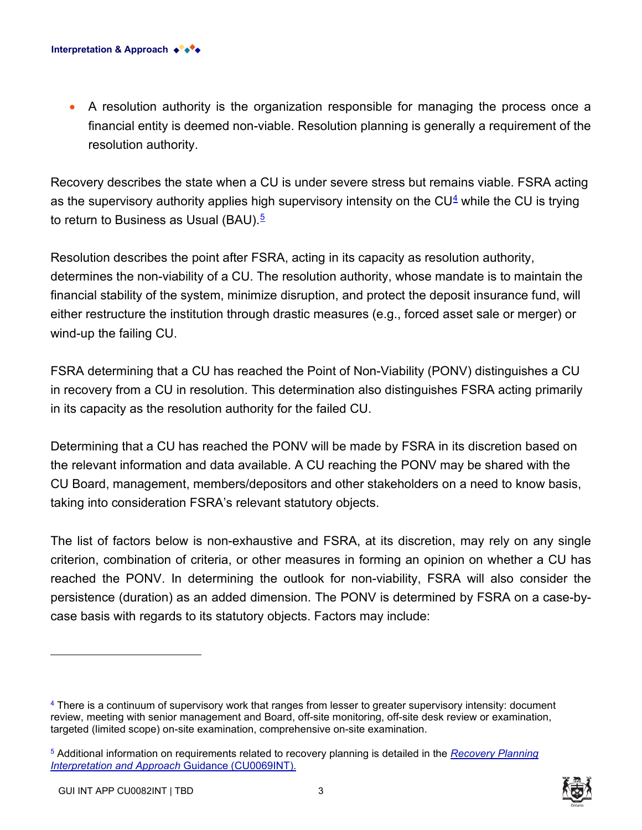• A resolution authority is the organization responsible for managing the process once a financial entity is deemed non-viable. Resolution planning is generally a requirement of the resolution authority.

Recovery describes the state when a CU is under severe stress but remains viable. FSRA acting as the supervisory authority applies high supervisory intensity on the  $CU^4$  while the CU is trying to return to Business as Usual (BAU).<sup>5</sup>

Resolution describes the point after FSRA, acting in its capacity as resolution authority, determines the non-viability of a CU. The resolution authority, whose mandate is to maintain the financial stability of the system, minimize disruption, and protect the deposit insurance fund, will either restructure the institution through drastic measures (e.g., forced asset sale or merger) or wind-up the failing CU.

FSRA determining that a CU has reached the Point of Non-Viability (PONV) distinguishes a CU in recovery from a CU in resolution. This determination also distinguishes FSRA acting primarily in its capacity as the resolution authority for the failed CU.

Determining that a CU has reached the PONV will be made by FSRA in its discretion based on the relevant information and data available. A CU reaching the PONV may be shared with the CU Board, management, members/depositors and other stakeholders on a need to know basis, taking into consideration FSRA's relevant statutory objects.

The list of factors below is non-exhaustive and FSRA, at its discretion, may rely on any single criterion, combination of criteria, or other measures in forming an opinion on whether a CU has reached the PONV. In determining the outlook for non-viability, FSRA will also consider the persistence (duration) as an added dimension. The PONV is determined by FSRA on a case-bycase basis with regards to its statutory objects. Factors may include:

<sup>5</sup> Additional information on requirements related to recovery planning is detailed in the *[Recovery Planning](https://www.fsrao.ca/industry/credit-unions-and-caisses-populaires/regulatory-framework/guidance-credit-unions-and-caisses-populaires/recovery-planning)  [Interpretation and Approach](https://www.fsrao.ca/industry/credit-unions-and-caisses-populaires/regulatory-framework/guidance-credit-unions-and-caisses-populaires/recovery-planning)* Guidance (CU0069INT).



<sup>&</sup>lt;sup>4</sup> There is a continuum of supervisory work that ranges from lesser to greater supervisory intensity: document review, meeting with senior management and Board, off-site monitoring, off-site desk review or examination, targeted (limited scope) on-site examination, comprehensive on-site examination.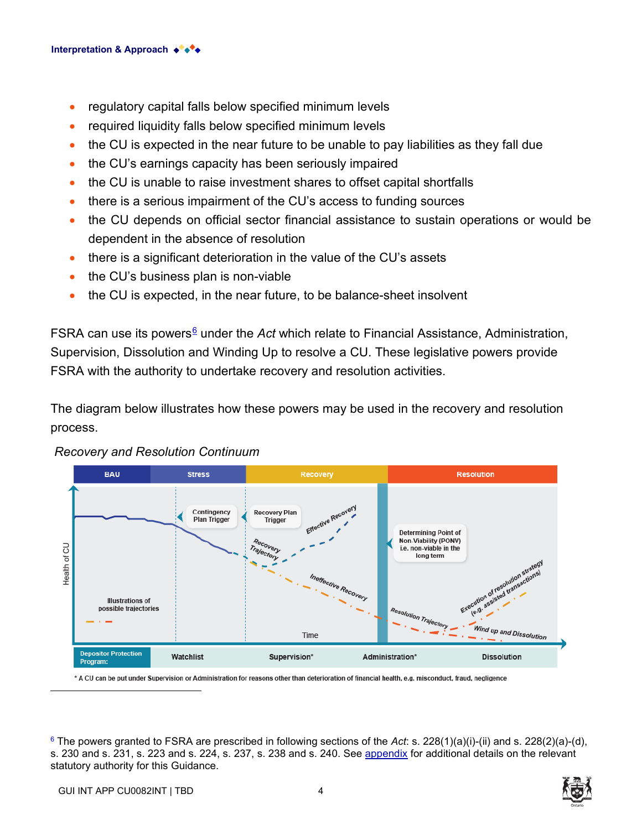- regulatory capital falls below specified minimum levels
- required liquidity falls below specified minimum levels
- the CU is expected in the near future to be unable to pay liabilities as they fall due
- the CU's earnings capacity has been seriously impaired
- the CU is unable to raise investment shares to offset capital shortfalls
- there is a serious impairment of the CU's access to funding sources
- the CU depends on official sector financial assistance to sustain operations or would be dependent in the absence of resolution
- there is a significant deterioration in the value of the CU's assets
- the CU's business plan is non-viable
- the CU is expected, in the near future, to be balance-sheet insolvent

FSRA can use its powers<sup>6</sup> under the *Act* which relate to Financial Assistance, Administration, Supervision, Dissolution and Winding Up to resolve a CU. These legislative powers provide FSRA with the authority to undertake recovery and resolution activities.

The diagram below illustrates how these powers may be used in the recovery and resolution process.



#### *Recovery and Resolution Continuum*

\* A CU can be put under Supervision or Administration for reasons other than deterioration of financial health, e.g. misconduct, fraud, negligence

<sup>6</sup> The powers granted to FSRA are prescribed in following sections of the *Act*: s. 228(1)(a)(i)-(ii) and s. 228(2)(a)-(d), s. 230 and s. 231, s. 223 and s. 224, s. 237, s. 238 and s. 240. See appendix for additional details on the relevant statutory authority for this Guidance.

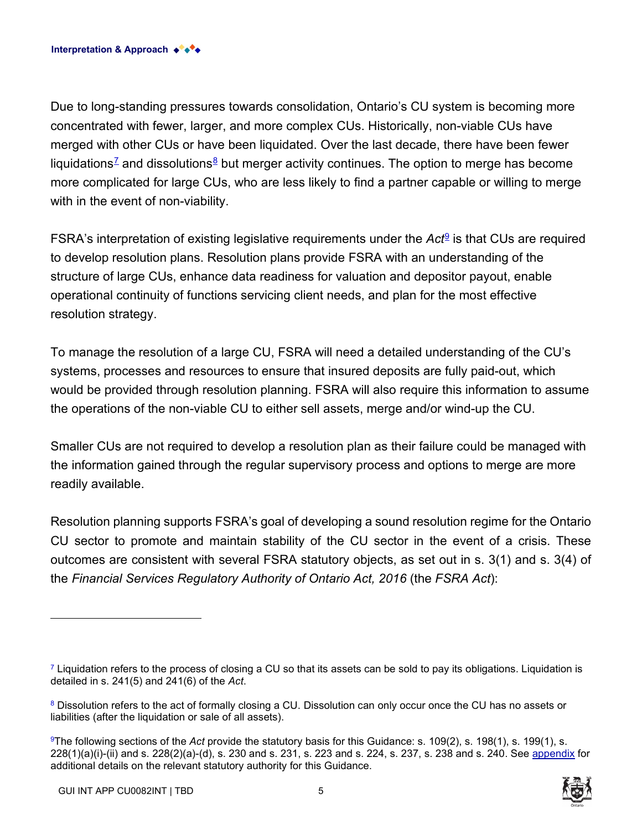Due to long-standing pressures towards consolidation, Ontario's CU system is becoming more concentrated with fewer, larger, and more complex CUs. Historically, non-viable CUs have merged with other CUs or have been liquidated. Over the last decade, there have been fewer liquidations<sup>7</sup> and dissolutions<sup>8</sup> but merger activity continues. The option to merge has become more complicated for large CUs, who are less likely to find a partner capable or willing to merge with in the event of non-viability.

FSRA's interpretation of existing legislative requirements under the *Act*<sup>9</sup> is that CUs are required to develop resolution plans. Resolution plans provide FSRA with an understanding of the structure of large CUs, enhance data readiness for valuation and depositor payout, enable operational continuity of functions servicing client needs, and plan for the most effective resolution strategy.

To manage the resolution of a large CU, FSRA will need a detailed understanding of the CU's systems, processes and resources to ensure that insured deposits are fully paid-out, which would be provided through resolution planning. FSRA will also require this information to assume the operations of the non-viable CU to either sell assets, merge and/or wind-up the CU.

Smaller CUs are not required to develop a resolution plan as their failure could be managed with the information gained through the regular supervisory process and options to merge are more readily available.

Resolution planning supports FSRA's goal of developing a sound resolution regime for the Ontario CU sector to promote and maintain stability of the CU sector in the event of a crisis. These outcomes are consistent with several FSRA statutory objects, as set out in s. 3(1) and s. 3(4) of the *Financial Services Regulatory Authority of Ontario Act, 2016* (the *FSRA Act*):

 $7$  Liquidation refers to the process of closing a CU so that its assets can be sold to pay its obligations. Liquidation is detailed in s. 241(5) and 241(6) of the *Act*.

<sup>&</sup>lt;sup>8</sup> Dissolution refers to the act of formally closing a CU. Dissolution can only occur once the CU has no assets or liabilities (after the liquidation or sale of all assets).

<sup>9</sup>The following sections of the *Act* provide the statutory basis for this Guidance: s. 109(2), s. 198(1), s. 199(1), s. 228(1)(a)(i)-(ii) and s. 228(2)(a)-(d), s. 230 and s. 231, s. 223 and s. 224, s. 237, s. 238 and s. 240. See appendix for additional details on the relevant statutory authority for this Guidance.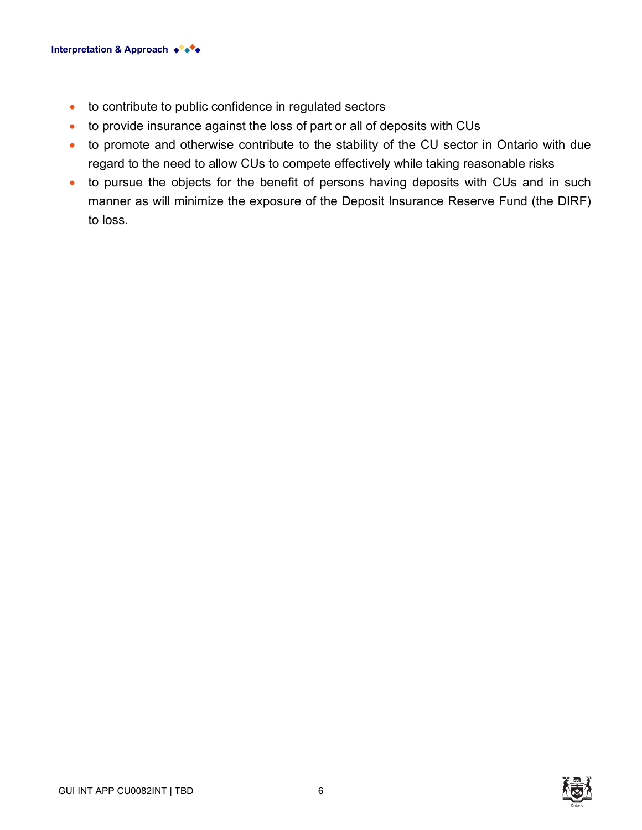- to contribute to public confidence in regulated sectors
- to provide insurance against the loss of part or all of deposits with CUs
- to promote and otherwise contribute to the stability of the CU sector in Ontario with due regard to the need to allow CUs to compete effectively while taking reasonable risks
- to pursue the objects for the benefit of persons having deposits with CUs and in such manner as will minimize the exposure of the Deposit Insurance Reserve Fund (the DIRF) to loss.



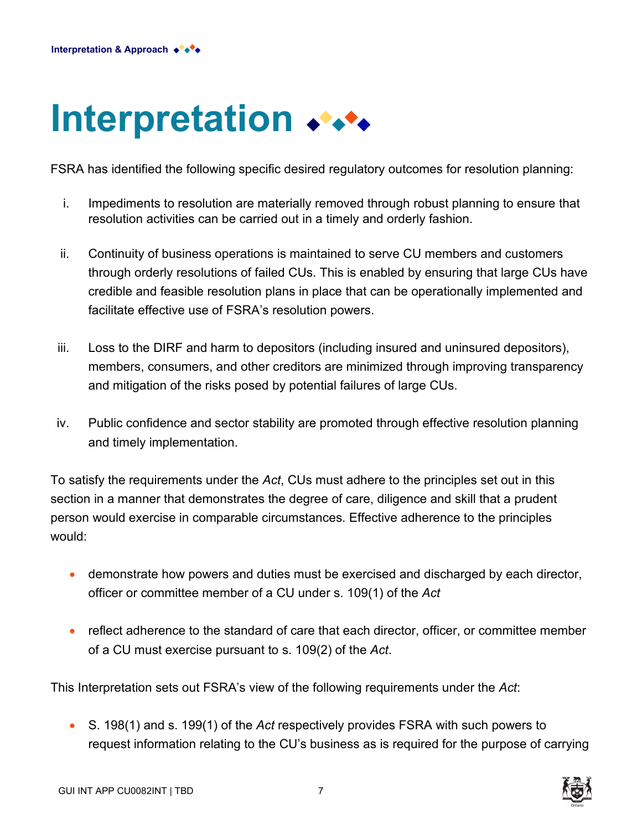# **Interpretation**

FSRA has identified the following specific desired regulatory outcomes for resolution planning:

- i. Impediments to resolution are materially removed through robust planning to ensure that resolution activities can be carried out in a timely and orderly fashion.
- ii. Continuity of business operations is maintained to serve CU members and customers through orderly resolutions of failed CUs. This is enabled by ensuring that large CUs have credible and feasible resolution plans in place that can be operationally implemented and facilitate effective use of FSRA's resolution powers.
- iii. Loss to the DIRF and harm to depositors (including insured and uninsured depositors), members, consumers, and other creditors are minimized through improving transparency and mitigation of the risks posed by potential failures of large CUs.
- iv. Public confidence and sector stability are promoted through effective resolution planning and timely implementation.

To satisfy the requirements under the *Act*, CUs must adhere to the principles set out in this section in a manner that demonstrates the degree of care, diligence and skill that a prudent person would exercise in comparable circumstances. Effective adherence to the principles would:

- demonstrate how powers and duties must be exercised and discharged by each director, officer or committee member of a CU under s. 109(1) of the *Act*
- reflect adherence to the standard of care that each director, officer, or committee member of a CU must exercise pursuant to s. 109(2) of the *Act*.

This Interpretation sets out FSRA's view of the following requirements under the *Act*:

• S. 198(1) and s. 199(1) of the *Act* respectively provides FSRA with such powers to request information relating to the CU's business as is required for the purpose of carrying



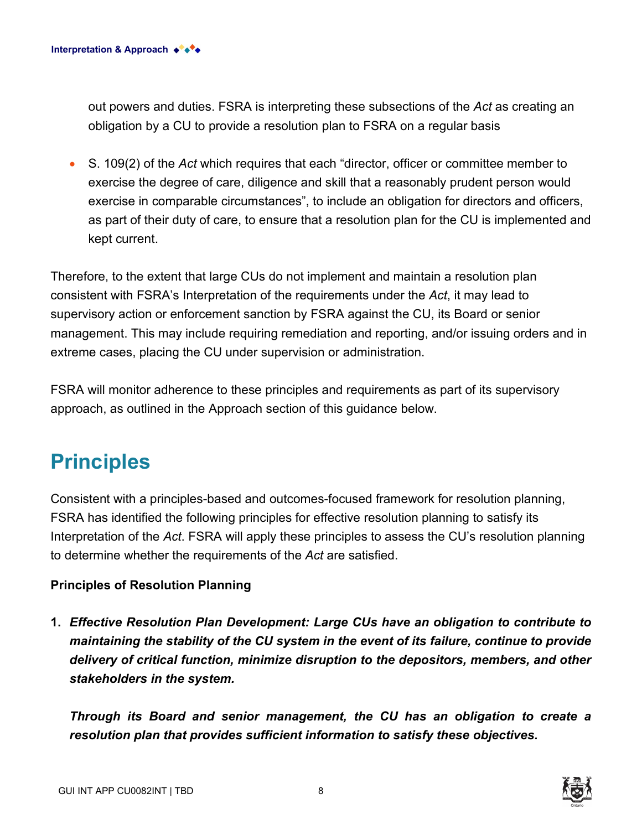out powers and duties. FSRA is interpreting these subsections of the *Act* as creating an obligation by a CU to provide a resolution plan to FSRA on a regular basis

• S. 109(2) of the *Act* which requires that each "director, officer or committee member to exercise the degree of care, diligence and skill that a reasonably prudent person would exercise in comparable circumstances", to include an obligation for directors and officers, as part of their duty of care, to ensure that a resolution plan for the CU is implemented and kept current.

Therefore, to the extent that large CUs do not implement and maintain a resolution plan consistent with FSRA's Interpretation of the requirements under the *Act*, it may lead to supervisory action or enforcement sanction by FSRA against the CU, its Board or senior management. This may include requiring remediation and reporting, and/or issuing orders and in extreme cases, placing the CU under supervision or administration.

FSRA will monitor adherence to these principles and requirements as part of its supervisory approach, as outlined in the Approach section of this guidance below.

# **Principles**

Consistent with a principles-based and outcomes-focused framework for resolution planning, FSRA has identified the following principles for effective resolution planning to satisfy its Interpretation of the *Act*. FSRA will apply these principles to assess the CU's resolution planning to determine whether the requirements of the *Act* are satisfied.

#### **Principles of Resolution Planning**

**1.** *Effective Resolution Plan Development: Large CUs have an obligation to contribute to maintaining the stability of the CU system in the event of its failure, continue to provide delivery of critical function, minimize disruption to the depositors, members, and other stakeholders in the system.*

*Through its Board and senior management, the CU has an obligation to create a resolution plan that provides sufficient information to satisfy these objectives.*

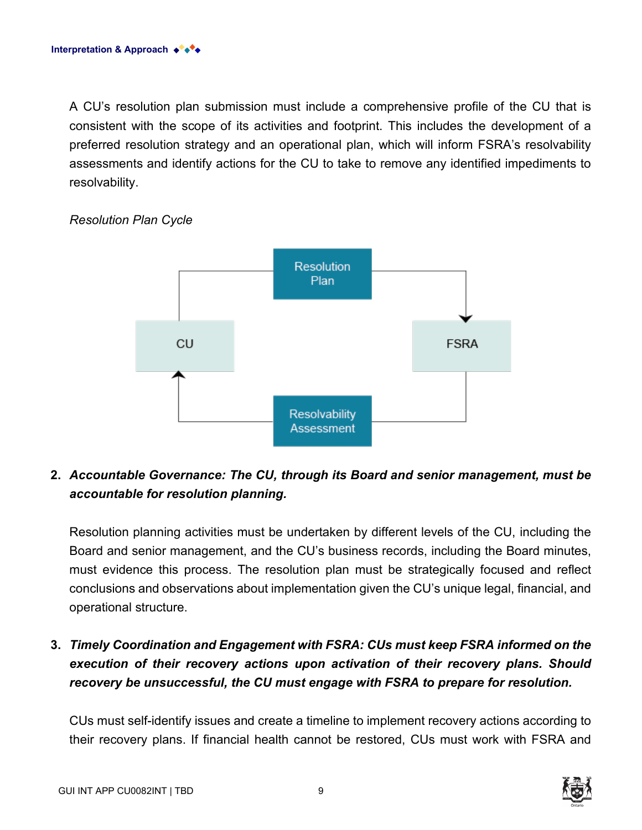A CU's resolution plan submission must include a comprehensive profile of the CU that is consistent with the scope of its activities and footprint. This includes the development of a preferred resolution strategy and an operational plan, which will inform FSRA's resolvability assessments and identify actions for the CU to take to remove any identified impediments to resolvability.



#### *Resolution Plan Cycle*

### **2.** *Accountable Governance: The CU, through its Board and senior management, must be accountable for resolution planning.*

Resolution planning activities must be undertaken by different levels of the CU, including the Board and senior management, and the CU's business records, including the Board minutes, must evidence this process. The resolution plan must be strategically focused and reflect conclusions and observations about implementation given the CU's unique legal, financial, and operational structure.

# **3.** *Timely Coordination and Engagement with FSRA: CUs must keep FSRA informed on the execution of their recovery actions upon activation of their recovery plans. Should recovery be unsuccessful, the CU must engage with FSRA to prepare for resolution.*

CUs must self-identify issues and create a timeline to implement recovery actions according to their recovery plans. If financial health cannot be restored, CUs must work with FSRA and

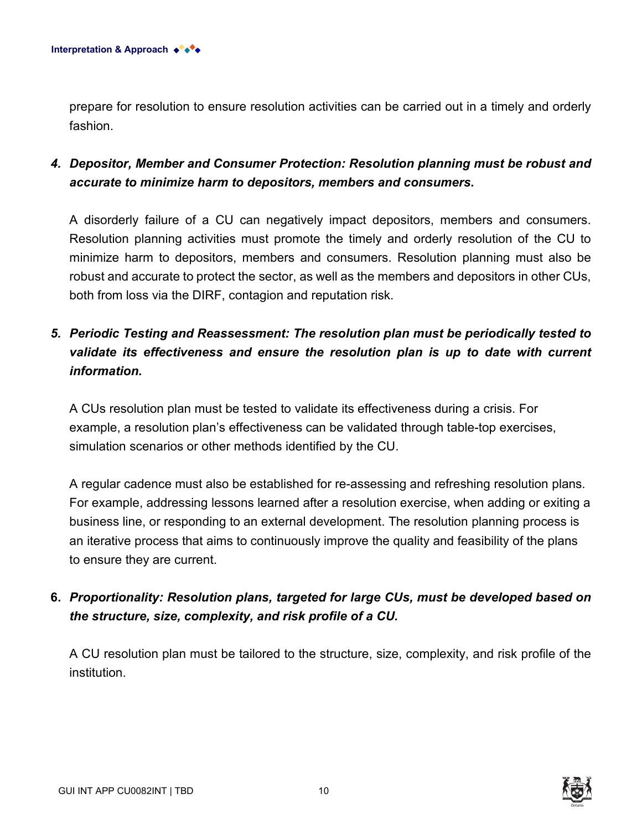prepare for resolution to ensure resolution activities can be carried out in a timely and orderly fashion.

## *4. Depositor, Member and Consumer Protection: Resolution planning must be robust and accurate to minimize harm to depositors, members and consumers.*

A disorderly failure of a CU can negatively impact depositors, members and consumers. Resolution planning activities must promote the timely and orderly resolution of the CU to minimize harm to depositors, members and consumers. Resolution planning must also be robust and accurate to protect the sector, as well as the members and depositors in other CUs, both from loss via the DIRF, contagion and reputation risk.

# *5. Periodic Testing and Reassessment: The resolution plan must be periodically tested to validate its effectiveness and ensure the resolution plan is up to date with current information.*

A CUs resolution plan must be tested to validate its effectiveness during a crisis. For example, a resolution plan's effectiveness can be validated through table-top exercises, simulation scenarios or other methods identified by the CU.

A regular cadence must also be established for re-assessing and refreshing resolution plans. For example, addressing lessons learned after a resolution exercise, when adding or exiting a business line, or responding to an external development. The resolution planning process is an iterative process that aims to continuously improve the quality and feasibility of the plans to ensure they are current.

# **6.** *Proportionality: Resolution plans, targeted for large CUs, must be developed based on the structure, size, complexity, and risk profile of a CU.*

A CU resolution plan must be tailored to the structure, size, complexity, and risk profile of the institution.

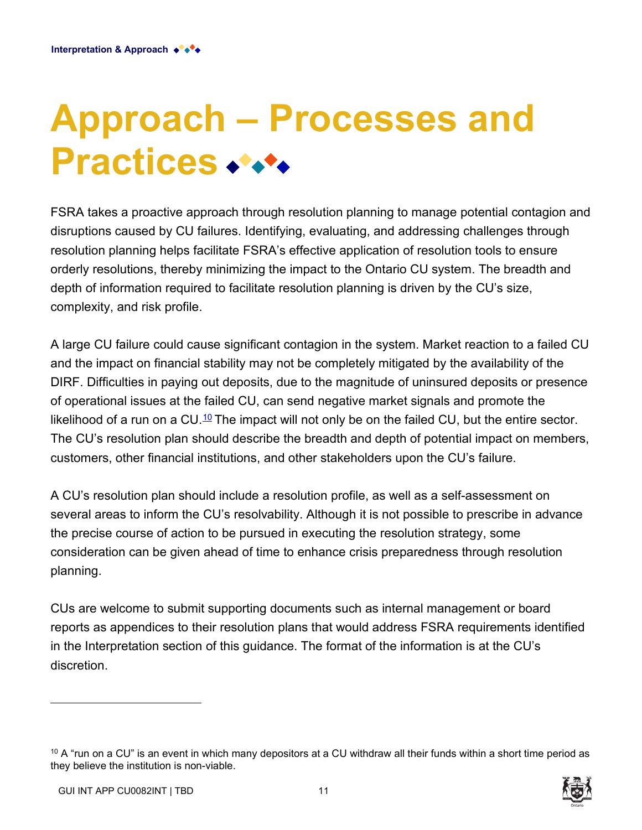# **Approach – Processes and Practices**

FSRA takes a proactive approach through resolution planning to manage potential contagion and disruptions caused by CU failures. Identifying, evaluating, and addressing challenges through resolution planning helps facilitate FSRA's effective application of resolution tools to ensure orderly resolutions, thereby minimizing the impact to the Ontario CU system. The breadth and depth of information required to facilitate resolution planning is driven by the CU's size, complexity, and risk profile.

A large CU failure could cause significant contagion in the system. Market reaction to a failed CU and the impact on financial stability may not be completely mitigated by the availability of the DIRF. Difficulties in paying out deposits, due to the magnitude of uninsured deposits or presence of operational issues at the failed CU, can send negative market signals and promote the likelihood of a run on a CU.<sup>10</sup> The impact will not only be on the failed CU, but the entire sector. The CU's resolution plan should describe the breadth and depth of potential impact on members, customers, other financial institutions, and other stakeholders upon the CU's failure.

A CU's resolution plan should include a resolution profile, as well as a self-assessment on several areas to inform the CU's resolvability. Although it is not possible to prescribe in advance the precise course of action to be pursued in executing the resolution strategy, some consideration can be given ahead of time to enhance crisis preparedness through resolution planning.

CUs are welcome to submit supporting documents such as internal management or board reports as appendices to their resolution plans that would address FSRA requirements identified in the Interpretation section of this guidance. The format of the information is at the CU's discretion.

 $10$  A "run on a CU" is an event in which many depositors at a CU withdraw all their funds within a short time period as they believe the institution is non-viable.

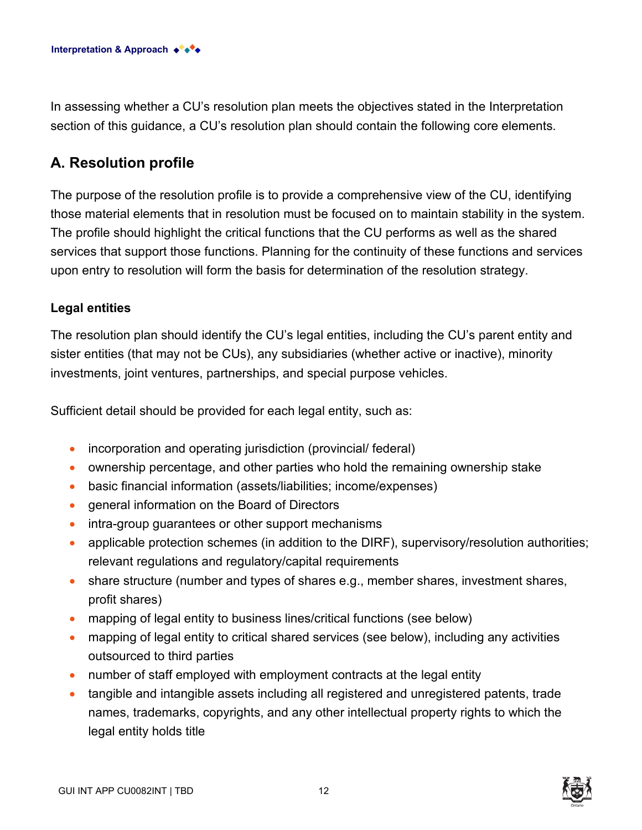In assessing whether a CU's resolution plan meets the objectives stated in the Interpretation section of this guidance, a CU's resolution plan should contain the following core elements.

## **A. Resolution profile**

The purpose of the resolution profile is to provide a comprehensive view of the CU, identifying those material elements that in resolution must be focused on to maintain stability in the system. The profile should highlight the critical functions that the CU performs as well as the shared services that support those functions. Planning for the continuity of these functions and services upon entry to resolution will form the basis for determination of the resolution strategy.

#### **Legal entities**

The resolution plan should identify the CU's legal entities, including the CU's parent entity and sister entities (that may not be CUs), any subsidiaries (whether active or inactive), minority investments, joint ventures, partnerships, and special purpose vehicles.

Sufficient detail should be provided for each legal entity, such as:

- incorporation and operating jurisdiction (provincial/ federal)
- ownership percentage, and other parties who hold the remaining ownership stake
- basic financial information (assets/liabilities; income/expenses)
- general information on the Board of Directors
- intra-group guarantees or other support mechanisms
- applicable protection schemes (in addition to the DIRF), supervisory/resolution authorities; relevant regulations and regulatory/capital requirements
- share structure (number and types of shares e.g., member shares, investment shares, profit shares)
- mapping of legal entity to business lines/critical functions (see below)
- mapping of legal entity to critical shared services (see below), including any activities outsourced to third parties
- number of staff employed with employment contracts at the legal entity
- tangible and intangible assets including all registered and unregistered patents, trade names, trademarks, copyrights, and any other intellectual property rights to which the legal entity holds title

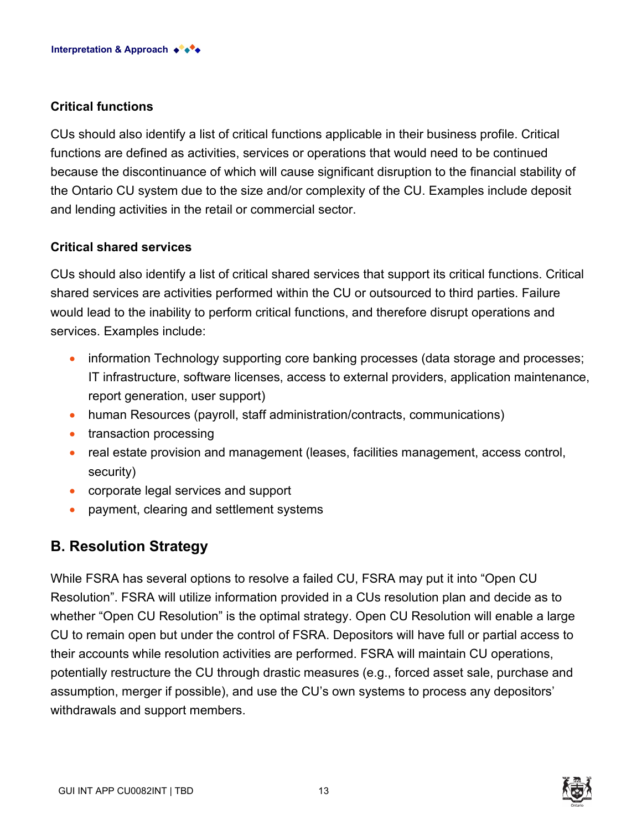#### **Critical functions**

CUs should also identify a list of critical functions applicable in their business profile. Critical functions are defined as activities, services or operations that would need to be continued because the discontinuance of which will cause significant disruption to the financial stability of the Ontario CU system due to the size and/or complexity of the CU. Examples include deposit and lending activities in the retail or commercial sector.

#### **Critical shared services**

CUs should also identify a list of critical shared services that support its critical functions. Critical shared services are activities performed within the CU or outsourced to third parties. Failure would lead to the inability to perform critical functions, and therefore disrupt operations and services. Examples include:

- information Technology supporting core banking processes (data storage and processes; IT infrastructure, software licenses, access to external providers, application maintenance, report generation, user support)
- human Resources (payroll, staff administration/contracts, communications)
- transaction processing
- real estate provision and management (leases, facilities management, access control, security)
- corporate legal services and support
- payment, clearing and settlement systems

## **B. Resolution Strategy**

While FSRA has several options to resolve a failed CU, FSRA may put it into "Open CU Resolution". FSRA will utilize information provided in a CUs resolution plan and decide as to whether "Open CU Resolution" is the optimal strategy. Open CU Resolution will enable a large CU to remain open but under the control of FSRA. Depositors will have full or partial access to their accounts while resolution activities are performed. FSRA will maintain CU operations, potentially restructure the CU through drastic measures (e.g., forced asset sale, purchase and assumption, merger if possible), and use the CU's own systems to process any depositors' withdrawals and support members.

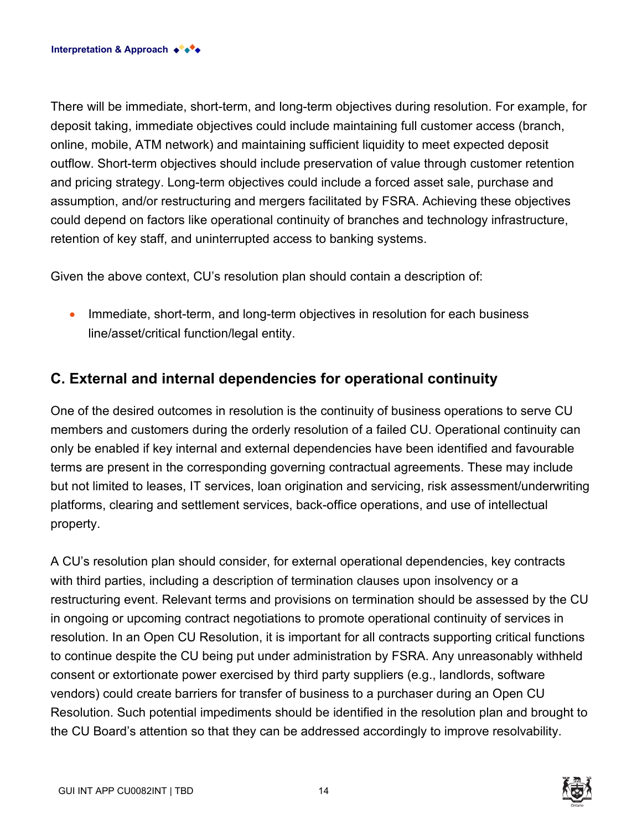There will be immediate, short-term, and long-term objectives during resolution. For example, for deposit taking, immediate objectives could include maintaining full customer access (branch, online, mobile, ATM network) and maintaining sufficient liquidity to meet expected deposit outflow. Short-term objectives should include preservation of value through customer retention and pricing strategy. Long-term objectives could include a forced asset sale, purchase and assumption, and/or restructuring and mergers facilitated by FSRA. Achieving these objectives could depend on factors like operational continuity of branches and technology infrastructure, retention of key staff, and uninterrupted access to banking systems.

Given the above context, CU's resolution plan should contain a description of:

• Immediate, short-term, and long-term objectives in resolution for each business line/asset/critical function/legal entity.

# **C. External and internal dependencies for operational continuity**

One of the desired outcomes in resolution is the continuity of business operations to serve CU members and customers during the orderly resolution of a failed CU. Operational continuity can only be enabled if key internal and external dependencies have been identified and favourable terms are present in the corresponding governing contractual agreements. These may include but not limited to leases, IT services, loan origination and servicing, risk assessment/underwriting platforms, clearing and settlement services, back-office operations, and use of intellectual property.

A CU's resolution plan should consider, for external operational dependencies, key contracts with third parties, including a description of termination clauses upon insolvency or a restructuring event. Relevant terms and provisions on termination should be assessed by the CU in ongoing or upcoming contract negotiations to promote operational continuity of services in resolution. In an Open CU Resolution, it is important for all contracts supporting critical functions to continue despite the CU being put under administration by FSRA. Any unreasonably withheld consent or extortionate power exercised by third party suppliers (e.g., landlords, software vendors) could create barriers for transfer of business to a purchaser during an Open CU Resolution. Such potential impediments should be identified in the resolution plan and brought to the CU Board's attention so that they can be addressed accordingly to improve resolvability.

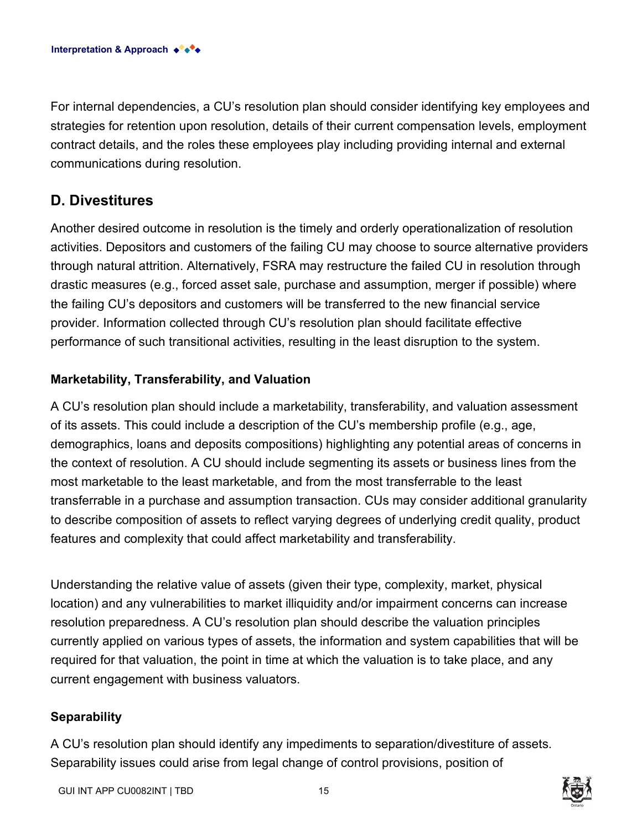For internal dependencies, a CU's resolution plan should consider identifying key employees and strategies for retention upon resolution, details of their current compensation levels, employment contract details, and the roles these employees play including providing internal and external communications during resolution.

### **D. Divestitures**

Another desired outcome in resolution is the timely and orderly operationalization of resolution activities. Depositors and customers of the failing CU may choose to source alternative providers through natural attrition. Alternatively, FSRA may restructure the failed CU in resolution through drastic measures (e.g., forced asset sale, purchase and assumption, merger if possible) where the failing CU's depositors and customers will be transferred to the new financial service provider. Information collected through CU's resolution plan should facilitate effective performance of such transitional activities, resulting in the least disruption to the system.

#### **Marketability, Transferability, and Valuation**

A CU's resolution plan should include a marketability, transferability, and valuation assessment of its assets. This could include a description of the CU's membership profile (e.g., age, demographics, loans and deposits compositions) highlighting any potential areas of concerns in the context of resolution. A CU should include segmenting its assets or business lines from the most marketable to the least marketable, and from the most transferrable to the least transferrable in a purchase and assumption transaction. CUs may consider additional granularity to describe composition of assets to reflect varying degrees of underlying credit quality, product features and complexity that could affect marketability and transferability.

Understanding the relative value of assets (given their type, complexity, market, physical location) and any vulnerabilities to market illiquidity and/or impairment concerns can increase resolution preparedness. A CU's resolution plan should describe the valuation principles currently applied on various types of assets, the information and system capabilities that will be required for that valuation, the point in time at which the valuation is to take place, and any current engagement with business valuators.

#### **Separability**

A CU's resolution plan should identify any impediments to separation/divestiture of assets. Separability issues could arise from legal change of control provisions, position of

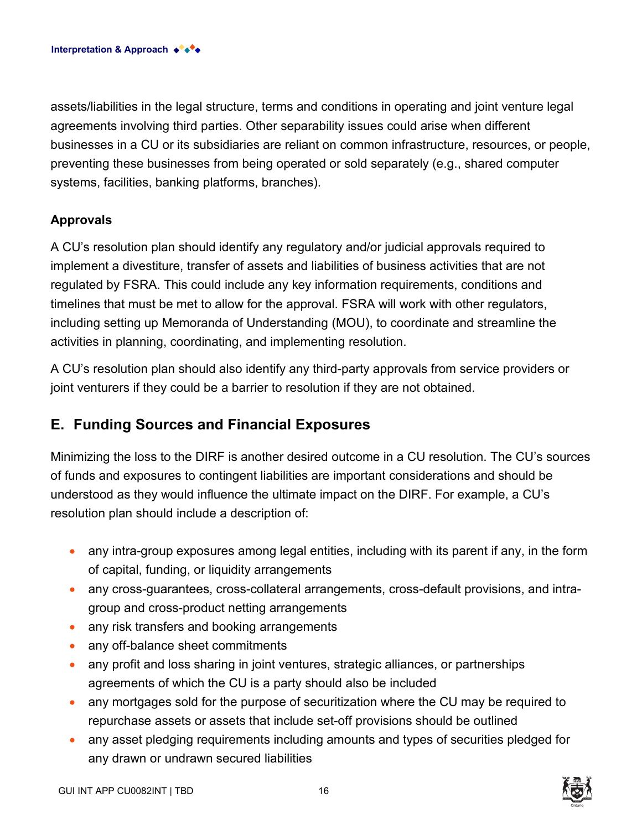assets/liabilities in the legal structure, terms and conditions in operating and joint venture legal agreements involving third parties. Other separability issues could arise when different businesses in a CU or its subsidiaries are reliant on common infrastructure, resources, or people, preventing these businesses from being operated or sold separately (e.g., shared computer systems, facilities, banking platforms, branches).

#### **Approvals**

A CU's resolution plan should identify any regulatory and/or judicial approvals required to implement a divestiture, transfer of assets and liabilities of business activities that are not regulated by FSRA. This could include any key information requirements, conditions and timelines that must be met to allow for the approval. FSRA will work with other regulators, including setting up Memoranda of Understanding (MOU), to coordinate and streamline the activities in planning, coordinating, and implementing resolution.

A CU's resolution plan should also identify any third-party approvals from service providers or joint venturers if they could be a barrier to resolution if they are not obtained.

## **E. Funding Sources and Financial Exposures**

Minimizing the loss to the DIRF is another desired outcome in a CU resolution. The CU's sources of funds and exposures to contingent liabilities are important considerations and should be understood as they would influence the ultimate impact on the DIRF. For example, a CU's resolution plan should include a description of:

- any intra-group exposures among legal entities, including with its parent if any, in the form of capital, funding, or liquidity arrangements
- any cross-guarantees, cross-collateral arrangements, cross-default provisions, and intragroup and cross-product netting arrangements
- any risk transfers and booking arrangements
- any off-balance sheet commitments
- any profit and loss sharing in joint ventures, strategic alliances, or partnerships agreements of which the CU is a party should also be included
- any mortgages sold for the purpose of securitization where the CU may be required to repurchase assets or assets that include set-off provisions should be outlined
- any asset pledging requirements including amounts and types of securities pledged for any drawn or undrawn secured liabilities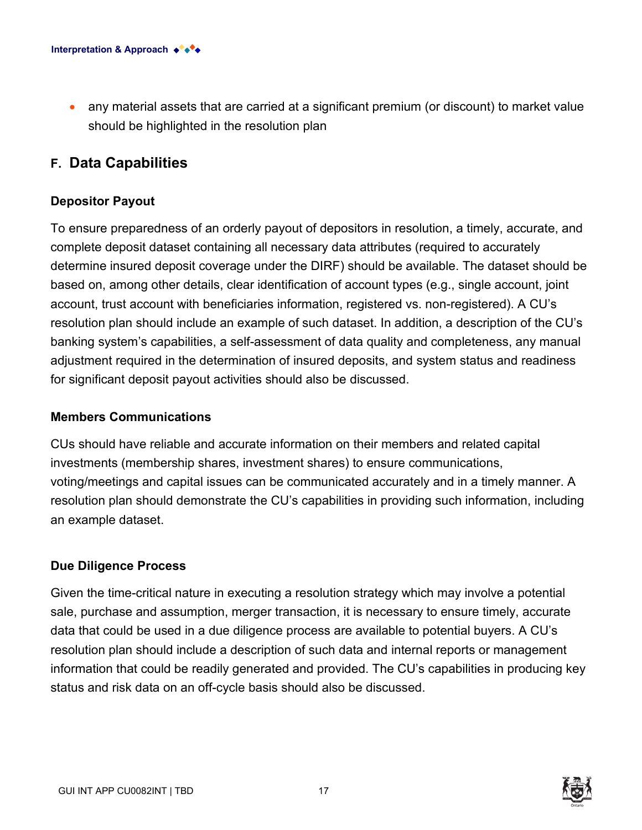• any material assets that are carried at a significant premium (or discount) to market value should be highlighted in the resolution plan

### **F. Data Capabilities**

#### **Depositor Payout**

To ensure preparedness of an orderly payout of depositors in resolution, a timely, accurate, and complete deposit dataset containing all necessary data attributes (required to accurately determine insured deposit coverage under the DIRF) should be available. The dataset should be based on, among other details, clear identification of account types (e.g., single account, joint account, trust account with beneficiaries information, registered vs. non-registered). A CU's resolution plan should include an example of such dataset. In addition, a description of the CU's banking system's capabilities, a self-assessment of data quality and completeness, any manual adjustment required in the determination of insured deposits, and system status and readiness for significant deposit payout activities should also be discussed.

#### **Members Communications**

CUs should have reliable and accurate information on their members and related capital investments (membership shares, investment shares) to ensure communications, voting/meetings and capital issues can be communicated accurately and in a timely manner. A resolution plan should demonstrate the CU's capabilities in providing such information, including an example dataset.

#### **Due Diligence Process**

Given the time-critical nature in executing a resolution strategy which may involve a potential sale, purchase and assumption, merger transaction, it is necessary to ensure timely, accurate data that could be used in a due diligence process are available to potential buyers. A CU's resolution plan should include a description of such data and internal reports or management information that could be readily generated and provided. The CU's capabilities in producing key status and risk data on an off-cycle basis should also be discussed.

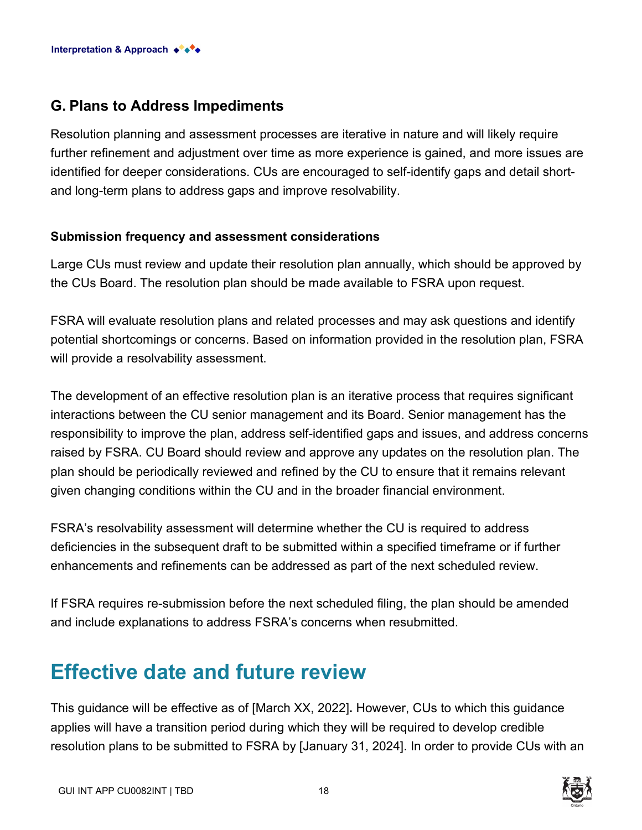## **G. Plans to Address Impediments**

Resolution planning and assessment processes are iterative in nature and will likely require further refinement and adjustment over time as more experience is gained, and more issues are identified for deeper considerations. CUs are encouraged to self-identify gaps and detail shortand long-term plans to address gaps and improve resolvability.

#### **Submission frequency and assessment considerations**

Large CUs must review and update their resolution plan annually, which should be approved by the CUs Board. The resolution plan should be made available to FSRA upon request.

FSRA will evaluate resolution plans and related processes and may ask questions and identify potential shortcomings or concerns. Based on information provided in the resolution plan, FSRA will provide a resolvability assessment.

The development of an effective resolution plan is an iterative process that requires significant interactions between the CU senior management and its Board. Senior management has the responsibility to improve the plan, address self-identified gaps and issues, and address concerns raised by FSRA. CU Board should review and approve any updates on the resolution plan. The plan should be periodically reviewed and refined by the CU to ensure that it remains relevant given changing conditions within the CU and in the broader financial environment.

FSRA's resolvability assessment will determine whether the CU is required to address deficiencies in the subsequent draft to be submitted within a specified timeframe or if further enhancements and refinements can be addressed as part of the next scheduled review.

If FSRA requires re-submission before the next scheduled filing, the plan should be amended and include explanations to address FSRA's concerns when resubmitted.

# **Effective date and future review**

This guidance will be effective as of [March XX, 2022]**.** However, CUs to which this guidance applies will have a transition period during which they will be required to develop credible resolution plans to be submitted to FSRA by [January 31, 2024]. In order to provide CUs with an

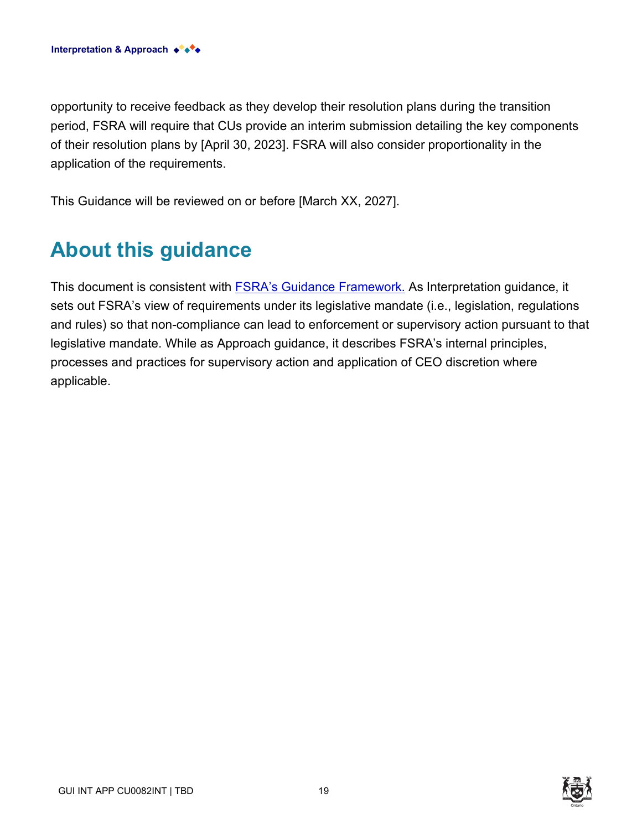opportunity to receive feedback as they develop their resolution plans during the transition period, FSRA will require that CUs provide an interim submission detailing the key components of their resolution plans by [April 30, 2023]. FSRA will also consider proportionality in the application of the requirements.

This Guidance will be reviewed on or before [March XX, 2027].

# **About this guidance**

This document is consistent with **[FSRA's Guidance Framework.](https://www.fsrao.ca/regulation/guidance/fsra-guidance-framework)** As Interpretation guidance, it sets out FSRA's view of requirements under its legislative mandate (i.e., legislation, regulations and rules) so that non-compliance can lead to enforcement or supervisory action pursuant to that legislative mandate. While as Approach guidance, it describes FSRA's internal principles, processes and practices for supervisory action and application of CEO discretion where applicable.

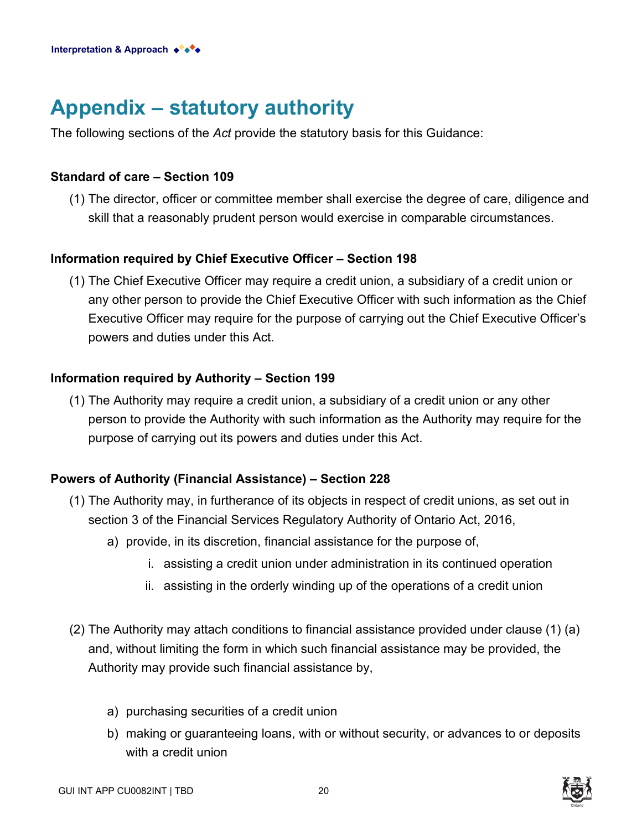# **Appendix – statutory authority**

The following sections of the *Act* provide the statutory basis for this Guidance:

#### **Standard of care – Section 109**

(1) The director, officer or committee member shall exercise the degree of care, diligence and skill that a reasonably prudent person would exercise in comparable circumstances.

#### **Information required by Chief Executive Officer – Section 198**

(1) The Chief Executive Officer may require a credit union, a subsidiary of a credit union or any other person to provide the Chief Executive Officer with such information as the Chief Executive Officer may require for the purpose of carrying out the Chief Executive Officer's powers and duties under this Act.

#### **Information required by Authority – Section 199**

(1) The Authority may require a credit union, a subsidiary of a credit union or any other person to provide the Authority with such information as the Authority may require for the purpose of carrying out its powers and duties under this Act.

#### **Powers of Authority (Financial Assistance) – Section 228**

- (1) The Authority may, in furtherance of its objects in respect of credit unions, as set out in section 3 of the Financial Services Regulatory Authority of Ontario Act, 2016,
	- a) provide, in its discretion, financial assistance for the purpose of,
		- i. assisting a credit union under administration in its continued operation
		- ii. assisting in the orderly winding up of the operations of a credit union
- (2) The Authority may attach conditions to financial assistance provided under clause (1) (a) and, without limiting the form in which such financial assistance may be provided, the Authority may provide such financial assistance by,
	- a) purchasing securities of a credit union
	- b) making or guaranteeing loans, with or without security, or advances to or deposits with a credit union



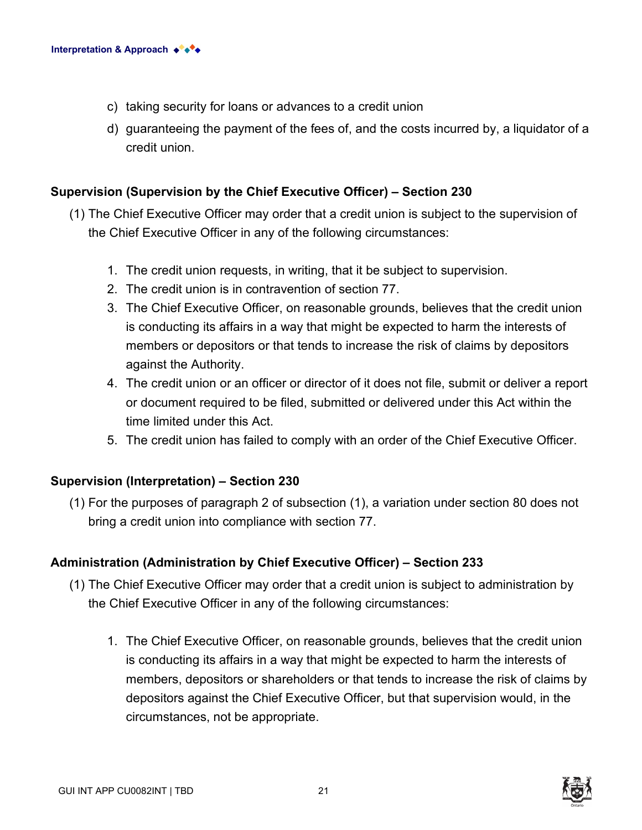- c) taking security for loans or advances to a credit union
- d) guaranteeing the payment of the fees of, and the costs incurred by, a liquidator of a credit union.

#### **Supervision (Supervision by the Chief Executive Officer) – Section 230**

- (1) The Chief Executive Officer may order that a credit union is subject to the supervision of the Chief Executive Officer in any of the following circumstances:
	- 1. The credit union requests, in writing, that it be subject to supervision.
	- 2. The credit union is in contravention of section 77.
	- 3. The Chief Executive Officer, on reasonable grounds, believes that the credit union is conducting its affairs in a way that might be expected to harm the interests of members or depositors or that tends to increase the risk of claims by depositors against the Authority.
	- 4. The credit union or an officer or director of it does not file, submit or deliver a report or document required to be filed, submitted or delivered under this Act within the time limited under this Act.
	- 5. The credit union has failed to comply with an order of the Chief Executive Officer.

#### **Supervision (Interpretation) – Section 230**

(1) For the purposes of paragraph 2 of subsection (1), a variation under section 80 does not bring a credit union into compliance with section 77.

#### **Administration (Administration by Chief Executive Officer) – Section 233**

- (1) The Chief Executive Officer may order that a credit union is subject to administration by the Chief Executive Officer in any of the following circumstances:
	- 1. The Chief Executive Officer, on reasonable grounds, believes that the credit union is conducting its affairs in a way that might be expected to harm the interests of members, depositors or shareholders or that tends to increase the risk of claims by depositors against the Chief Executive Officer, but that supervision would, in the circumstances, not be appropriate.

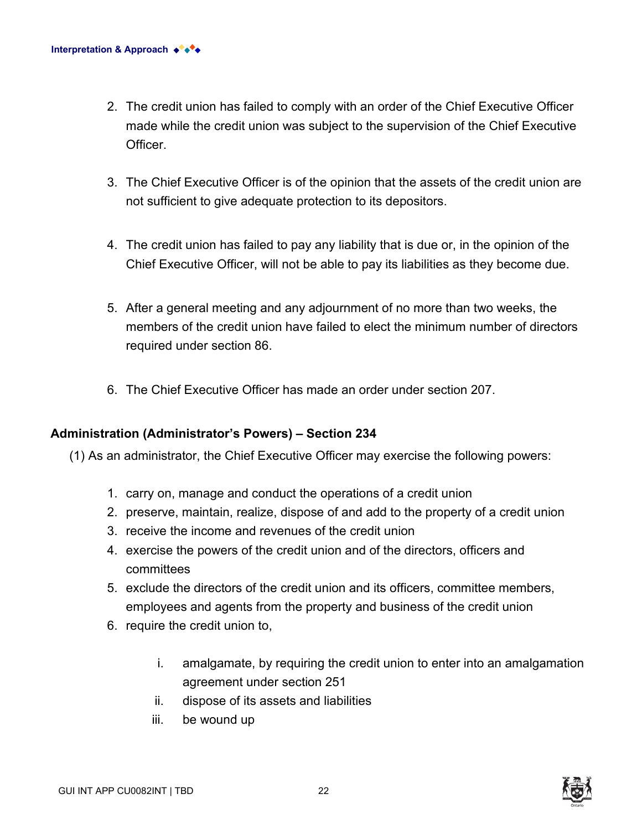- 2. The credit union has failed to comply with an order of the Chief Executive Officer made while the credit union was subject to the supervision of the Chief Executive **Officer**
- 3. The Chief Executive Officer is of the opinion that the assets of the credit union are not sufficient to give adequate protection to its depositors.
- 4. The credit union has failed to pay any liability that is due or, in the opinion of the Chief Executive Officer, will not be able to pay its liabilities as they become due.
- 5. After a general meeting and any adjournment of no more than two weeks, the members of the credit union have failed to elect the minimum number of directors required under section 86.
- 6. The Chief Executive Officer has made an order under section 207.

#### **Administration (Administrator's Powers) – Section 234**

(1) As an administrator, the Chief Executive Officer may exercise the following powers:

- 1. carry on, manage and conduct the operations of a credit union
- 2. preserve, maintain, realize, dispose of and add to the property of a credit union
- 3. receive the income and revenues of the credit union
- 4. exercise the powers of the credit union and of the directors, officers and committees
- 5. exclude the directors of the credit union and its officers, committee members, employees and agents from the property and business of the credit union
- 6. require the credit union to,
	- i. amalgamate, by requiring the credit union to enter into an amalgamation agreement under section 251
	- ii. dispose of its assets and liabilities
	- iii. be wound up